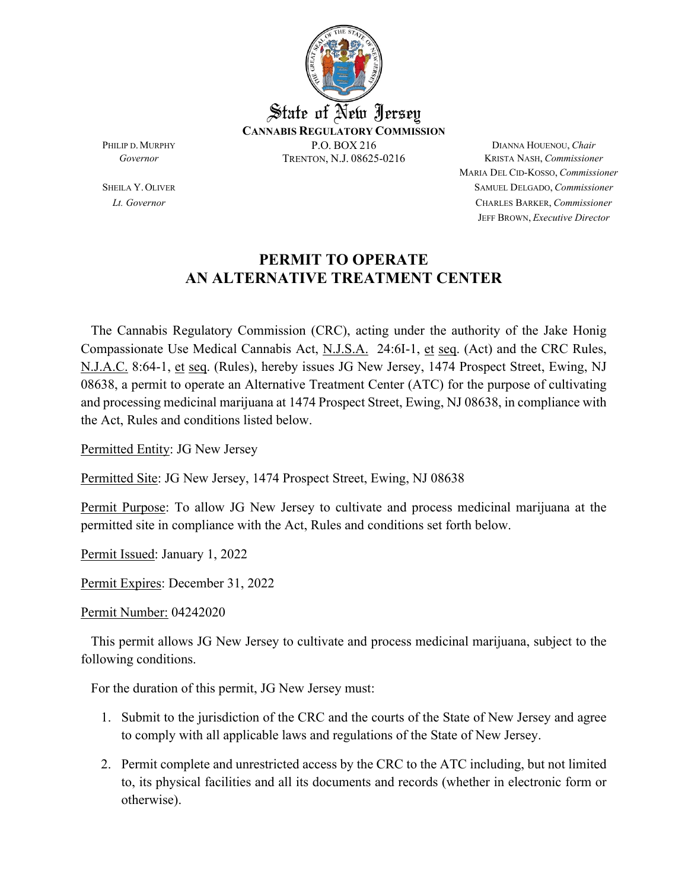

MARIA DEL CID-KOSSO, *Commissioner* SHEILA Y.OLIVER SAMUEL DELGADO, *Commissioner Lt. Governor* CHARLES BARKER, *Commissioner* JEFF BROWN, *Executive Director*

## **PERMIT TO OPERATE AN ALTERNATIVE TREATMENT CENTER**

 The Cannabis Regulatory Commission (CRC), acting under the authority of the Jake Honig Compassionate Use Medical Cannabis Act, N.J.S.A. 24:6I-1, et seq. (Act) and the CRC Rules, N.J.A.C. 8:64-1, et seq. (Rules), hereby issues JG New Jersey, 1474 Prospect Street, Ewing, NJ 08638, a permit to operate an Alternative Treatment Center (ATC) for the purpose of cultivating and processing medicinal marijuana at 1474 Prospect Street, Ewing, NJ 08638, in compliance with the Act, Rules and conditions listed below.

Permitted Entity: JG New Jersey

Permitted Site: JG New Jersey, 1474 Prospect Street, Ewing, NJ 08638

Permit Purpose: To allow JG New Jersey to cultivate and process medicinal marijuana at the permitted site in compliance with the Act, Rules and conditions set forth below.

Permit Issued: January 1, 2022

Permit Expires: December 31, 2022

Permit Number: 04242020

 This permit allows JG New Jersey to cultivate and process medicinal marijuana, subject to the following conditions.

For the duration of this permit, JG New Jersey must:

- 1. Submit to the jurisdiction of the CRC and the courts of the State of New Jersey and agree to comply with all applicable laws and regulations of the State of New Jersey.
- 2. Permit complete and unrestricted access by the CRC to the ATC including, but not limited to, its physical facilities and all its documents and records (whether in electronic form or otherwise).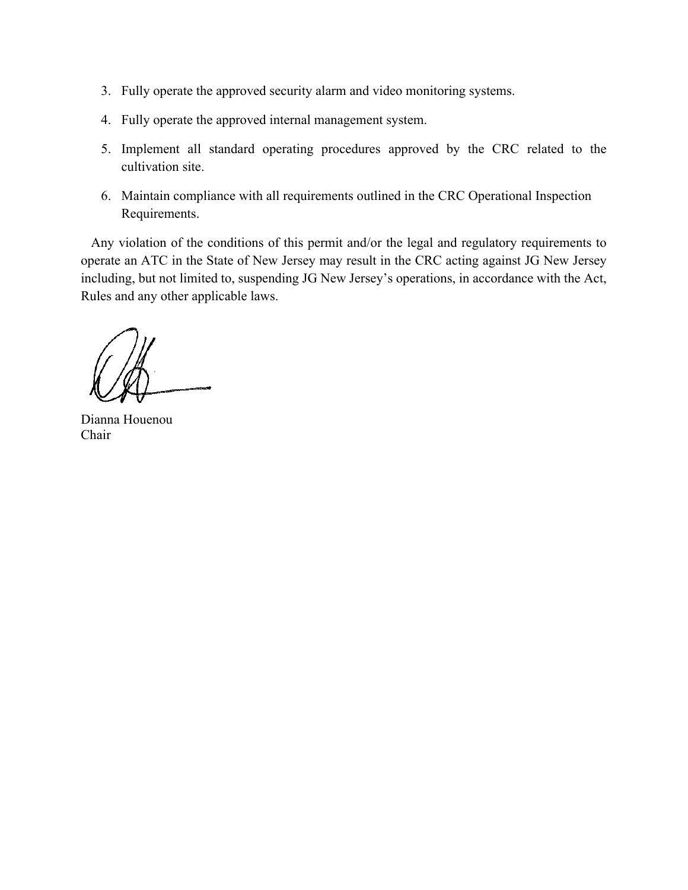- 3. Fully operate the approved security alarm and video monitoring systems.
- 4. Fully operate the approved internal management system.
- 5. Implement all standard operating procedures approved by the CRC related to the cultivation site.
- 6. Maintain compliance with all requirements outlined in the CRC Operational Inspection Requirements.

 Any violation of the conditions of this permit and/or the legal and regulatory requirements to operate an ATC in the State of New Jersey may result in the CRC acting against JG New Jersey including, but not limited to, suspending JG New Jersey's operations, in accordance with the Act, Rules and any other applicable laws.

Dianna Houenou Chair